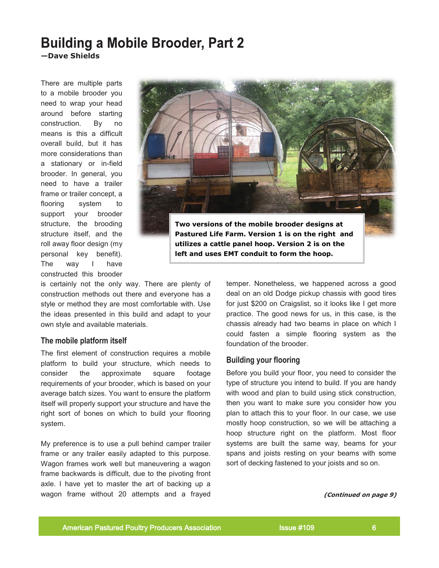# **Building a Mobile Brooder, Part 2 —Dave Shields**

There are multiple parts to a mobile brooder you need to wrap your head around before starting construction. By no means is this a difficult overall build, but it has more considerations than a stationary or in-field brooder. In general, you need to have a trailer frame or trailer concept, a flooring system to support your brooder structure, the brooding structure itself, and the roll away floor design (my personal key benefit). The way I have constructed this brooder



is certainly not the only way. There are plenty of construction methods out there and everyone has a style or method they are most comfortable with. Use the ideas presented in this build and adapt to your own style and available materials.

# **The mobile platform itself**

The first element of construction requires a mobile platform to build your structure, which needs to consider the approximate square footage requirements of your brooder, which is based on your average batch sizes. You want to ensure the platform itself will properly support your structure and have the right sort of bones on which to build your flooring system.

My preference is to use a pull behind camper trailer frame or any trailer easily adapted to this purpose. Wagon frames work well but maneuvering a wagon frame backwards is difficult, due to the pivoting front axle. I have yet to master the art of backing up a wagon frame without 20 attempts and a frayed

temper. Nonetheless, we happened across a good deal on an old Dodge pickup chassis with good tires for just \$200 on Craigslist, so it looks like I get more practice. The good news for us, in this case, is the chassis already had two beams in place on which I could fasten a simple flooring system as the foundation of the brooder.

# **Building your flooring**

Before you build your floor, you need to consider the type of structure you intend to build. If you are handy with wood and plan to build using stick construction, then you want to make sure you consider how you plan to attach this to your floor. In our case, we use mostly hoop construction, so we will be attaching a hoop structure right on the platform. Most floor systems are built the same way, beams for your spans and joists resting on your beams with some sort of decking fastened to your joists and so on.

**(Continued on page 9)**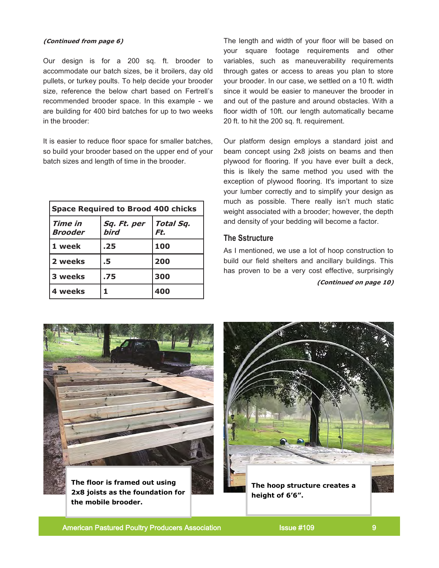Our design is for a 200 sq. ft. brooder to accommodate our batch sizes, be it broilers, day old pullets, or turkey poults. To help decide your brooder size, reference the below chart based on Fertrell's recommended brooder space. In this example - we are building for 400 bird batches for up to two weeks in the brooder:

It is easier to reduce floor space for smaller batches, so build your brooder based on the upper end of your batch sizes and length of time in the brooder.

| <b>Space Required to Brood 400 chicks</b> |                     |                  |
|-------------------------------------------|---------------------|------------------|
| Time in<br><b>Brooder</b>                 | Sq. Ft. per<br>bird | Total Sq.<br>Ft. |
| 1 week                                    | .25                 | 100              |
| 2 weeks                                   | .5                  | 200              |
| 3 weeks                                   | .75                 | 300              |
| 4 weeks                                   |                     | 400              |

**(Continued from page 6)** The length and width of your floor will be based on your square footage requirements and other variables, such as maneuverability requirements through gates or access to areas you plan to store your brooder. In our case, we settled on a 10 ft. width since it would be easier to maneuver the brooder in and out of the pasture and around obstacles. With a floor width of 10ft. our length automatically became 20 ft. to hit the 200 sq. ft. requirement.

> Our platform design employs a standard joist and beam concept using 2x8 joists on beams and then plywood for flooring. If you have ever built a deck, this is likely the same method you used with the exception of plywood flooring. It's important to size your lumber correctly and to simplify your design as much as possible. There really isn't much static weight associated with a brooder; however, the depth and density of your bedding will become a factor.

# **The Sstructure**

As I mentioned, we use a lot of hoop construction to build our field shelters and ancillary buildings. This has proven to be a very cost effective, surprisingly

**(Continued on page 10)**



**2x8 joists as the foundation for the mobile brooder.**

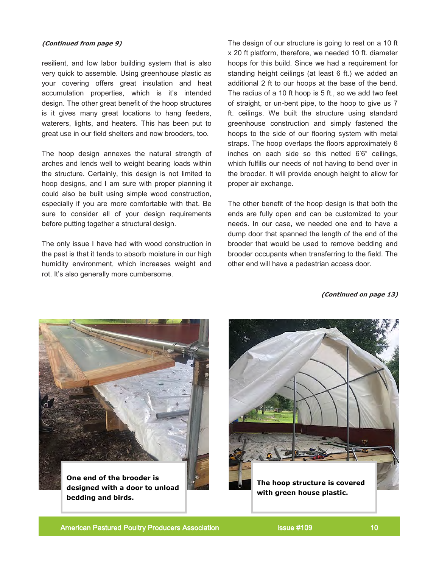resilient, and low labor building system that is also very quick to assemble. Using greenhouse plastic as your covering offers great insulation and heat accumulation properties, which is it's intended design. The other great benefit of the hoop structures is it gives many great locations to hang feeders, waterers, lights, and heaters. This has been put to great use in our field shelters and now brooders, too.

The hoop design annexes the natural strength of arches and lends well to weight bearing loads within the structure. Certainly, this design is not limited to hoop designs, and I am sure with proper planning it could also be built using simple wood construction, especially if you are more comfortable with that. Be sure to consider all of your design requirements before putting together a structural design.

The only issue I have had with wood construction in the past is that it tends to absorb moisture in our high humidity environment, which increases weight and rot. It's also generally more cumbersome.

**(Continued from page 9)** The design of our structure is going to rest on a 10 ft x 20 ft platform, therefore, we needed 10 ft. diameter hoops for this build. Since we had a requirement for standing height ceilings (at least 6 ft.) we added an additional 2 ft to our hoops at the base of the bend. The radius of a 10 ft hoop is 5 ft., so we add two feet of straight, or un-bent pipe, to the hoop to give us 7 ft. ceilings. We built the structure using standard greenhouse construction and simply fastened the hoops to the side of our flooring system with metal straps. The hoop overlaps the floors approximately 6 inches on each side so this netted 6'6" ceilings, which fulfills our needs of not having to bend over in the brooder. It will provide enough height to allow for proper air exchange.

> The other benefit of the hoop design is that both the ends are fully open and can be customized to your needs. In our case, we needed one end to have a dump door that spanned the length of the end of the brooder that would be used to remove bedding and brooder occupants when transferring to the field. The other end will have a pedestrian access door.

> > **(Continued on page 13)**



**One end of the brooder is designed with a door to unload bedding and birds.**



American Pastured Poultry Producers Association **Issue #109** 10 10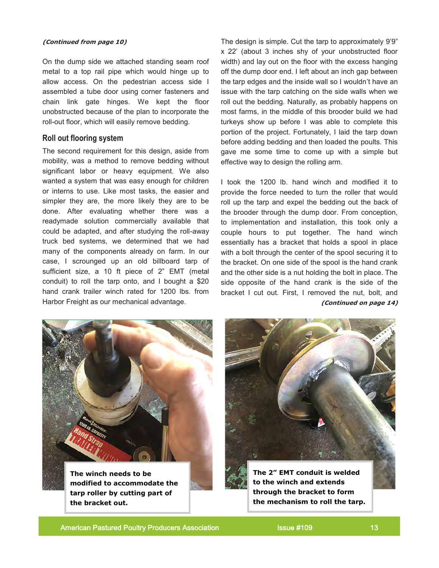### **(Continued from page 10)**

On the dump side we attached standing seam roof metal to a top rail pipe which would hinge up to allow access. On the pedestrian access side I assembled a tube door using corner fasteners and chain link gate hinges. We kept the floor unobstructed because of the plan to incorporate the roll-out floor, which will easily remove bedding.

### **Roll out flooring system**

The second requirement for this design, aside from mobility, was a method to remove bedding without significant labor or heavy equipment. We also wanted a system that was easy enough for children or interns to use. Like most tasks, the easier and simpler they are, the more likely they are to be done. After evaluating whether there was a readymade solution commercially available that could be adapted, and after studying the roll-away truck bed systems, we determined that we had many of the components already on farm. In our case, I scrounged up an old billboard tarp of sufficient size, a 10 ft piece of 2" EMT (metal conduit) to roll the tarp onto, and I bought a \$20 hand crank trailer winch rated for 1200 lbs. from Harbor Freight as our mechanical advantage.

The design is simple. Cut the tarp to approximately 9'9" x 22' (about 3 inches shy of your unobstructed floor width) and lay out on the floor with the excess hanging off the dump door end. I left about an inch gap between the tarp edges and the inside wall so I wouldn't have an issue with the tarp catching on the side walls when we roll out the bedding. Naturally, as probably happens on most farms, in the middle of this brooder build we had turkeys show up before I was able to complete this portion of the project. Fortunately, I laid the tarp down before adding bedding and then loaded the poults. This gave me some time to come up with a simple but effective way to design the rolling arm.

I took the 1200 lb. hand winch and modified it to provide the force needed to turn the roller that would roll up the tarp and expel the bedding out the back of the brooder through the dump door. From conception, to implementation and installation, this took only a couple hours to put together. The hand winch essentially has a bracket that holds a spool in place with a bolt through the center of the spool securing it to the bracket. On one side of the spool is the hand crank and the other side is a nut holding the bolt in place. The side opposite of the hand crank is the side of the bracket I cut out. First, I removed the nut, bolt, and **(Continued on page 14)**



**The winch needs to be modified to accommodate the tarp roller by cutting part of the bracket out.**



**The 2" EMT conduit is welded to the winch and extends through the bracket to form the mechanism to roll the tarp.** 

American Pastured Poultry Producers Association **Issue #109** 13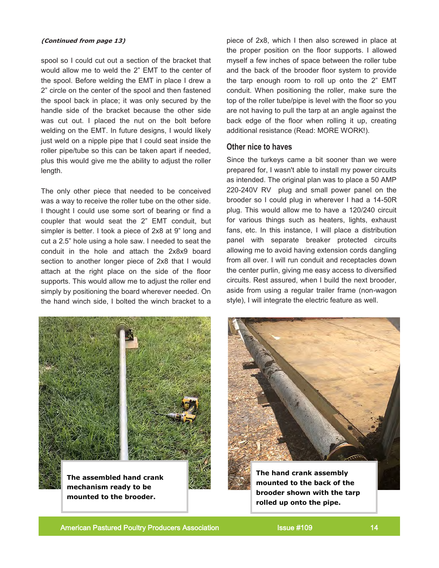spool so I could cut out a section of the bracket that would allow me to weld the 2" EMT to the center of the spool. Before welding the EMT in place I drew a 2" circle on the center of the spool and then fastened the spool back in place; it was only secured by the handle side of the bracket because the other side was cut out. I placed the nut on the bolt before welding on the EMT. In future designs, I would likely just weld on a nipple pipe that I could seat inside the roller pipe/tube so this can be taken apart if needed, plus this would give me the ability to adjust the roller length.

The only other piece that needed to be conceived was a way to receive the roller tube on the other side. I thought I could use some sort of bearing or find a coupler that would seat the 2" EMT conduit, but simpler is better. I took a piece of 2x8 at 9" long and cut a 2.5" hole using a hole saw. I needed to seat the conduit in the hole and attach the 2x8x9 board section to another longer piece of 2x8 that I would attach at the right place on the side of the floor supports. This would allow me to adjust the roller end simply by positioning the board wherever needed. On the hand winch side, I bolted the winch bracket to a

**(Continued from page 13)** piece of 2x8, which I then also screwed in place at the proper position on the floor supports. I allowed myself a few inches of space between the roller tube and the back of the brooder floor system to provide the tarp enough room to roll up onto the 2" EMT conduit. When positioning the roller, make sure the top of the roller tube/pipe is level with the floor so you are not having to pull the tarp at an angle against the back edge of the floor when rolling it up, creating additional resistance (Read: MORE WORK!).

### **Other nice to haves**

Since the turkeys came a bit sooner than we were prepared for, I wasn't able to install my power circuits as intended. The original plan was to place a 50 AMP 220-240V RV plug and small power panel on the brooder so I could plug in wherever I had a 14-50R plug. This would allow me to have a 120/240 circuit for various things such as heaters, lights, exhaust fans, etc. In this instance, I will place a distribution panel with separate breaker protected circuits allowing me to avoid having extension cords dangling from all over. I will run conduit and receptacles down the center purlin, giving me easy access to diversified circuits. Rest assured, when I build the next brooder, aside from using a regular trailer frame (non-wagon style), I will integrate the electric feature as well.



**The assembled hand crank mechanism ready to be mounted to the brooder.** 



**The hand crank assembly mounted to the back of the brooder shown with the tarp rolled up onto the pipe.**

American Pastured Poultry Producers Association **Issue #109** 14